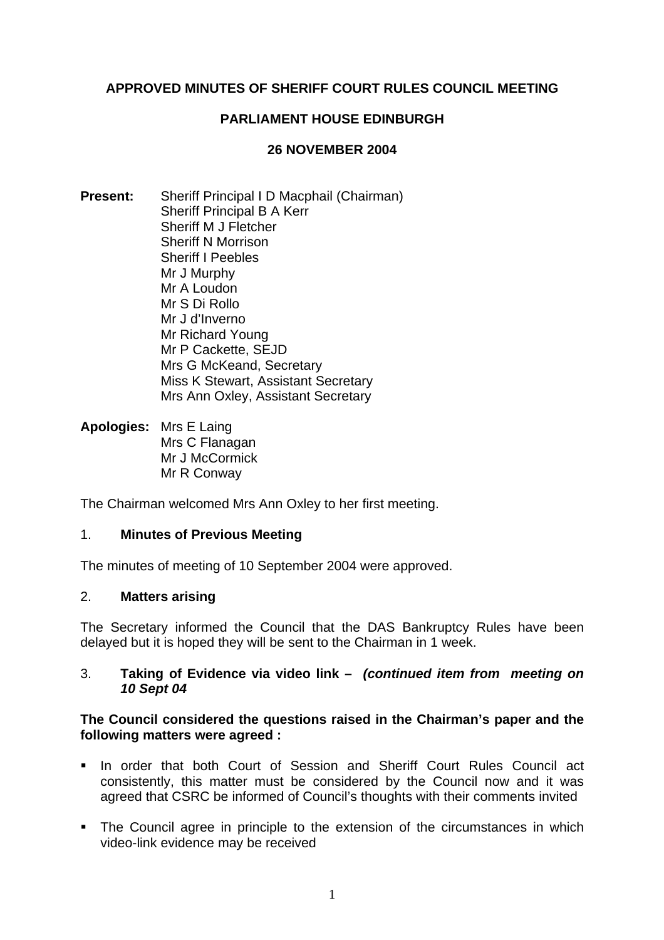# **APPROVED MINUTES OF SHERIFF COURT RULES COUNCIL MEETING**

## **PARLIAMENT HOUSE EDINBURGH**

### **26 NOVEMBER 2004**

- **Present:** Sheriff Principal I D Macphail (Chairman) Sheriff Principal B A Kerr Sheriff M J Fletcher Sheriff N Morrison Sheriff I Peebles Mr J Murphy Mr A Loudon Mr S Di Rollo Mr J d'Inverno Mr Richard Young Mr P Cackette, SEJD Mrs G McKeand, Secretary Miss K Stewart, Assistant Secretary Mrs Ann Oxley, Assistant Secretary
- **Apologies:** Mrs E Laing Mrs C Flanagan Mr J McCormick Mr R Conway

The Chairman welcomed Mrs Ann Oxley to her first meeting.

#### 1. **Minutes of Previous Meeting**

The minutes of meeting of 10 September 2004 were approved.

### 2. **Matters arising**

The Secretary informed the Council that the DAS Bankruptcy Rules have been delayed but it is hoped they will be sent to the Chairman in 1 week.

#### 3. **Taking of Evidence via video link –** *(continued item from meeting on 10 Sept 04*

### **The Council considered the questions raised in the Chairman's paper and the following matters were agreed :**

- **In order that both Court of Session and Sheriff Court Rules Council act** consistently, this matter must be considered by the Council now and it was agreed that CSRC be informed of Council's thoughts with their comments invited
- The Council agree in principle to the extension of the circumstances in which video-link evidence may be received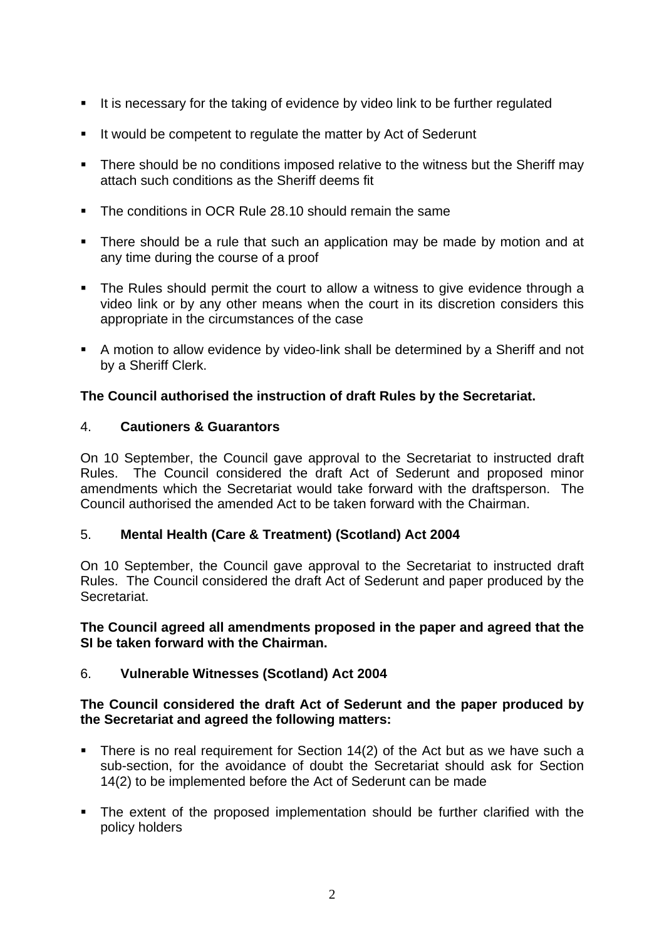- It is necessary for the taking of evidence by video link to be further regulated
- It would be competent to regulate the matter by Act of Sederunt
- There should be no conditions imposed relative to the witness but the Sheriff may attach such conditions as the Sheriff deems fit
- The conditions in OCR Rule 28.10 should remain the same
- There should be a rule that such an application may be made by motion and at any time during the course of a proof
- The Rules should permit the court to allow a witness to give evidence through a video link or by any other means when the court in its discretion considers this appropriate in the circumstances of the case
- A motion to allow evidence by video-link shall be determined by a Sheriff and not by a Sheriff Clerk.

# **The Council authorised the instruction of draft Rules by the Secretariat.**

# 4. **Cautioners & Guarantors**

On 10 September, the Council gave approval to the Secretariat to instructed draft Rules. The Council considered the draft Act of Sederunt and proposed minor amendments which the Secretariat would take forward with the draftsperson. The Council authorised the amended Act to be taken forward with the Chairman.

### 5. **Mental Health (Care & Treatment) (Scotland) Act 2004**

On 10 September, the Council gave approval to the Secretariat to instructed draft Rules. The Council considered the draft Act of Sederunt and paper produced by the **Secretariat.** 

### **The Council agreed all amendments proposed in the paper and agreed that the SI be taken forward with the Chairman.**

# 6. **Vulnerable Witnesses (Scotland) Act 2004**

### **The Council considered the draft Act of Sederunt and the paper produced by the Secretariat and agreed the following matters:**

- There is no real requirement for Section 14(2) of the Act but as we have such a sub-section, for the avoidance of doubt the Secretariat should ask for Section 14(2) to be implemented before the Act of Sederunt can be made
- The extent of the proposed implementation should be further clarified with the policy holders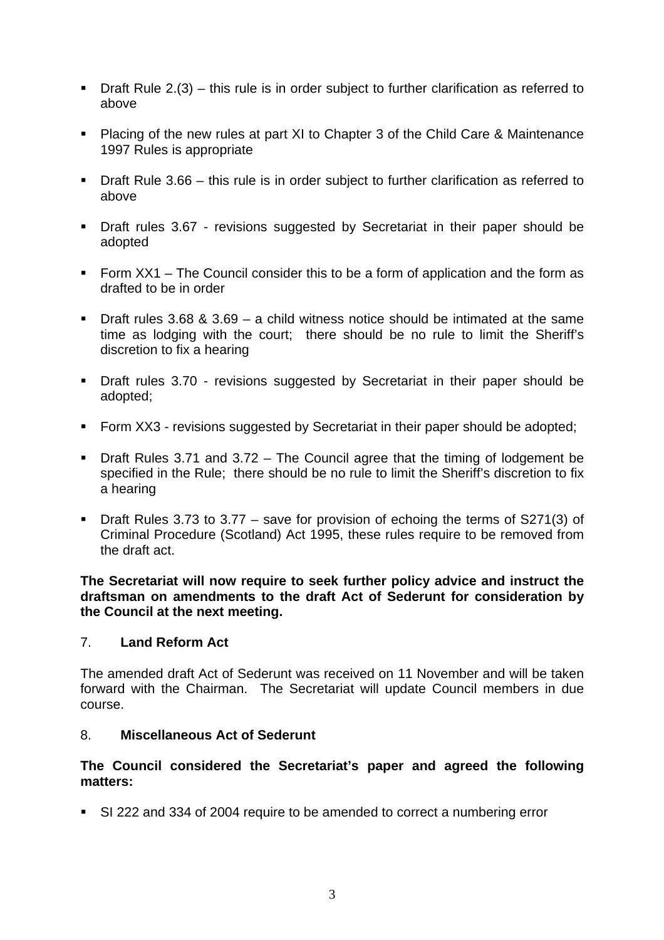- $\blacksquare$  Draft Rule 2.(3) this rule is in order subject to further clarification as referred to above
- Placing of the new rules at part XI to Chapter 3 of the Child Care & Maintenance 1997 Rules is appropriate
- **Draft Rule 3.66 this rule is in order subiect to further clarification as referred to** above
- **•** Draft rules 3.67 revisions suggested by Secretariat in their paper should be adopted
- Form  $XX1$  The Council consider this to be a form of application and the form as drafted to be in order
- **Draft rules 3.68 & 3.69 a child witness notice should be intimated at the same** time as lodging with the court; there should be no rule to limit the Sheriff's discretion to fix a hearing
- Draft rules 3.70 revisions suggested by Secretariat in their paper should be adopted;
- Form XX3 revisions suggested by Secretariat in their paper should be adopted;
- Draft Rules 3.71 and 3.72 The Council agree that the timing of lodgement be specified in the Rule; there should be no rule to limit the Sheriff's discretion to fix a hearing
- Draft Rules 3.73 to 3.77 save for provision of echoing the terms of S271(3) of Criminal Procedure (Scotland) Act 1995, these rules require to be removed from the draft act.

**The Secretariat will now require to seek further policy advice and instruct the draftsman on amendments to the draft Act of Sederunt for consideration by the Council at the next meeting.** 

### 7. **Land Reform Act**

The amended draft Act of Sederunt was received on 11 November and will be taken forward with the Chairman. The Secretariat will update Council members in due course.

### 8. **Miscellaneous Act of Sederunt**

# **The Council considered the Secretariat's paper and agreed the following matters:**

SI 222 and 334 of 2004 require to be amended to correct a numbering error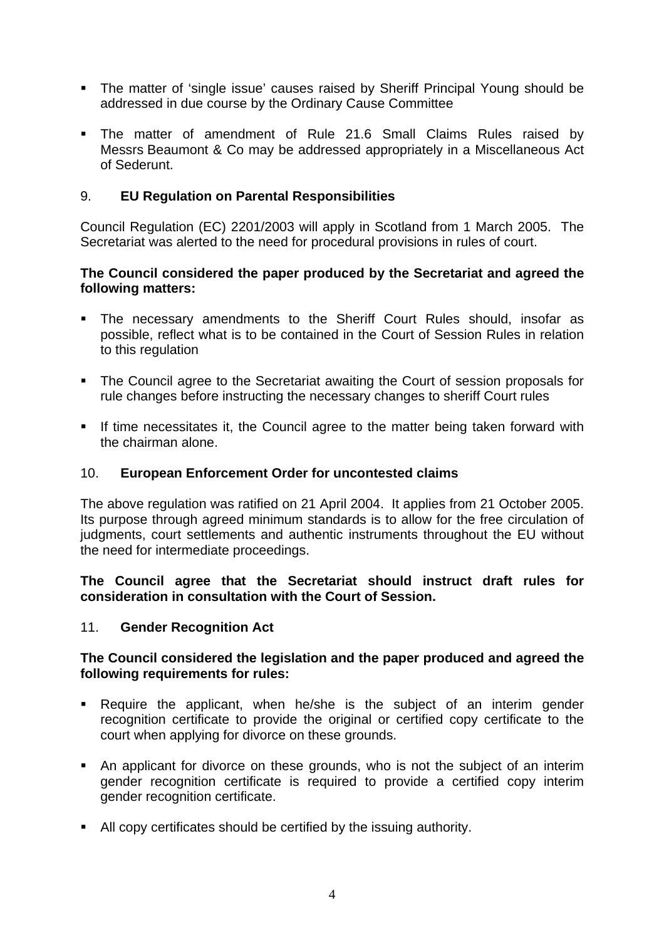- The matter of 'single issue' causes raised by Sheriff Principal Young should be addressed in due course by the Ordinary Cause Committee
- The matter of amendment of Rule 21.6 Small Claims Rules raised by Messrs Beaumont & Co may be addressed appropriately in a Miscellaneous Act of Sederunt.

## 9. **EU Regulation on Parental Responsibilities**

Council Regulation (EC) 2201/2003 will apply in Scotland from 1 March 2005. The Secretariat was alerted to the need for procedural provisions in rules of court.

## **The Council considered the paper produced by the Secretariat and agreed the following matters:**

- The necessary amendments to the Sheriff Court Rules should, insofar as possible, reflect what is to be contained in the Court of Session Rules in relation to this regulation
- The Council agree to the Secretariat awaiting the Court of session proposals for rule changes before instructing the necessary changes to sheriff Court rules
- If time necessitates it, the Council agree to the matter being taken forward with the chairman alone.

### 10. **European Enforcement Order for uncontested claims**

The above regulation was ratified on 21 April 2004. It applies from 21 October 2005. Its purpose through agreed minimum standards is to allow for the free circulation of judgments, court settlements and authentic instruments throughout the EU without the need for intermediate proceedings.

### **The Council agree that the Secretariat should instruct draft rules for consideration in consultation with the Court of Session.**

### 11. **Gender Recognition Act**

### **The Council considered the legislation and the paper produced and agreed the following requirements for rules:**

- Require the applicant, when he/she is the subject of an interim gender recognition certificate to provide the original or certified copy certificate to the court when applying for divorce on these grounds.
- An applicant for divorce on these grounds, who is not the subject of an interim gender recognition certificate is required to provide a certified copy interim gender recognition certificate.
- All copy certificates should be certified by the issuing authority.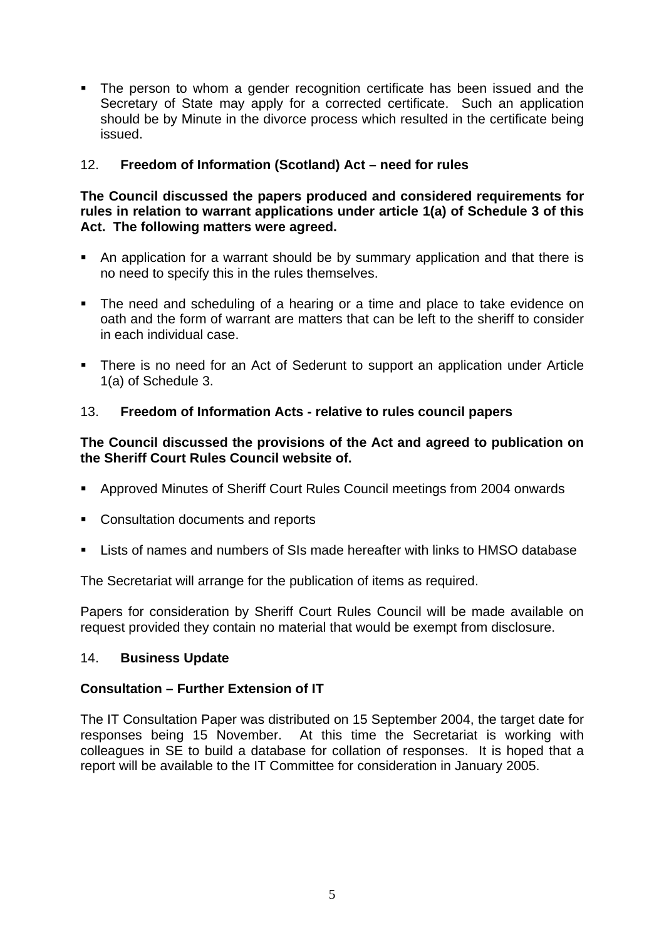• The person to whom a gender recognition certificate has been issued and the Secretary of State may apply for a corrected certificate. Such an application should be by Minute in the divorce process which resulted in the certificate being issued.

# 12. **Freedom of Information (Scotland) Act – need for rules**

### **The Council discussed the papers produced and considered requirements for rules in relation to warrant applications under article 1(a) of Schedule 3 of this Act. The following matters were agreed.**

- An application for a warrant should be by summary application and that there is no need to specify this in the rules themselves.
- The need and scheduling of a hearing or a time and place to take evidence on oath and the form of warrant are matters that can be left to the sheriff to consider in each individual case.
- There is no need for an Act of Sederunt to support an application under Article 1(a) of Schedule 3.

# 13. **Freedom of Information Acts - relative to rules council papers**

# **The Council discussed the provisions of the Act and agreed to publication on the Sheriff Court Rules Council website of.**

- Approved Minutes of Sheriff Court Rules Council meetings from 2004 onwards
- Consultation documents and reports
- Lists of names and numbers of SIs made hereafter with links to HMSO database

The Secretariat will arrange for the publication of items as required.

Papers for consideration by Sheriff Court Rules Council will be made available on request provided they contain no material that would be exempt from disclosure.

# 14. **Business Update**

# **Consultation – Further Extension of IT**

The IT Consultation Paper was distributed on 15 September 2004, the target date for responses being 15 November. At this time the Secretariat is working with colleagues in SE to build a database for collation of responses. It is hoped that a report will be available to the IT Committee for consideration in January 2005.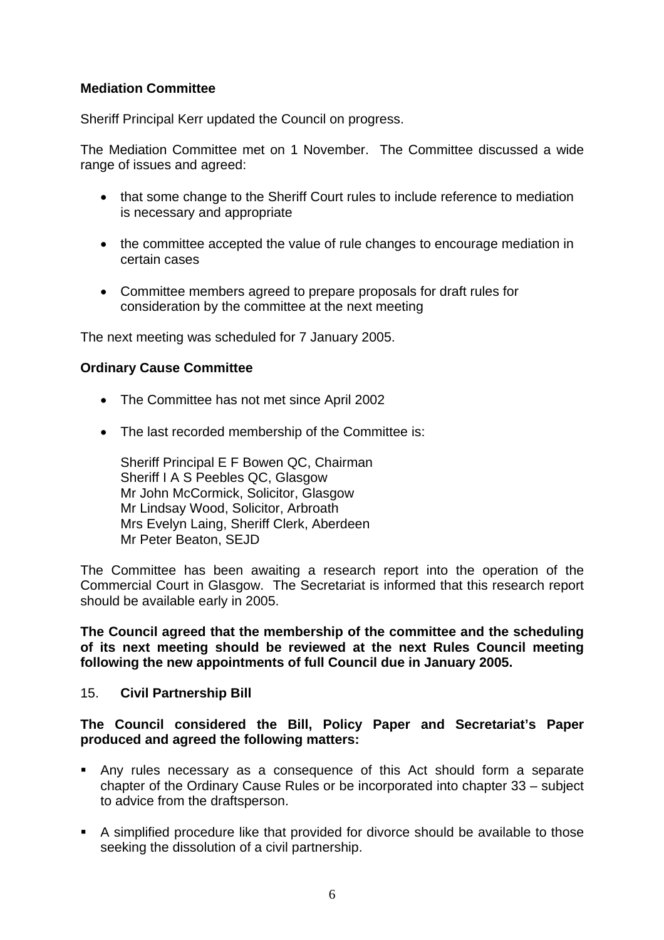# **Mediation Committee**

Sheriff Principal Kerr updated the Council on progress.

The Mediation Committee met on 1 November. The Committee discussed a wide range of issues and agreed:

- that some change to the Sheriff Court rules to include reference to mediation is necessary and appropriate
- the committee accepted the value of rule changes to encourage mediation in certain cases
- Committee members agreed to prepare proposals for draft rules for consideration by the committee at the next meeting

The next meeting was scheduled for 7 January 2005.

### **Ordinary Cause Committee**

- The Committee has not met since April 2002
- The last recorded membership of the Committee is:

Sheriff Principal E F Bowen QC, Chairman Sheriff I A S Peebles QC, Glasgow Mr John McCormick, Solicitor, Glasgow Mr Lindsay Wood, Solicitor, Arbroath Mrs Evelyn Laing, Sheriff Clerk, Aberdeen Mr Peter Beaton, SEJD

The Committee has been awaiting a research report into the operation of the Commercial Court in Glasgow. The Secretariat is informed that this research report should be available early in 2005.

**The Council agreed that the membership of the committee and the scheduling of its next meeting should be reviewed at the next Rules Council meeting following the new appointments of full Council due in January 2005.** 

#### 15. **Civil Partnership Bill**

#### **The Council considered the Bill, Policy Paper and Secretariat's Paper produced and agreed the following matters:**

- Any rules necessary as a consequence of this Act should form a separate chapter of the Ordinary Cause Rules or be incorporated into chapter 33 – subject to advice from the draftsperson.
- A simplified procedure like that provided for divorce should be available to those seeking the dissolution of a civil partnership.